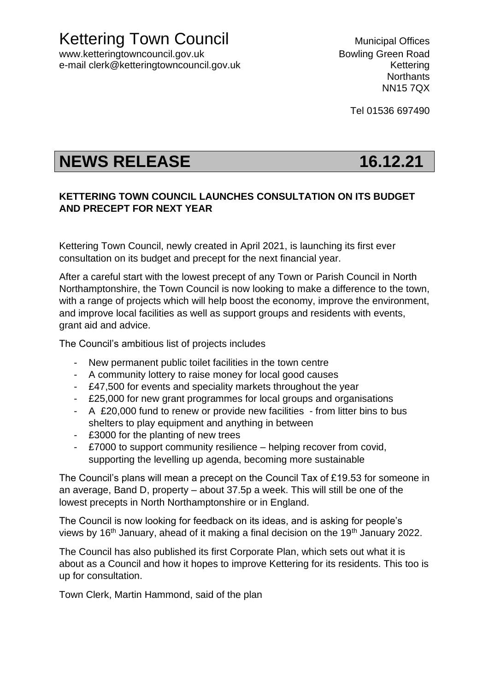Kettering Town Council **Municipal Offices** 

www.ketteringtowncouncil.gov.uk but a set of the Bowling Green Road e-mail clerk@ketteringtowncouncil.gov.uk example and the settering

**Northants** NN15 7QX

Tel 01536 697490

## **NEWS RELEASE 16.12.21**

## **KETTERING TOWN COUNCIL LAUNCHES CONSULTATION ON ITS BUDGET AND PRECEPT FOR NEXT YEAR**

Kettering Town Council, newly created in April 2021, is launching its first ever consultation on its budget and precept for the next financial year.

After a careful start with the lowest precept of any Town or Parish Council in North Northamptonshire, the Town Council is now looking to make a difference to the town, with a range of projects which will help boost the economy, improve the environment, and improve local facilities as well as support groups and residents with events, grant aid and advice.

The Council's ambitious list of projects includes

- New permanent public toilet facilities in the town centre
- A community lottery to raise money for local good causes
- £47,500 for events and speciality markets throughout the year
- £25,000 for new grant programmes for local groups and organisations
- A £20,000 fund to renew or provide new facilities from litter bins to bus shelters to play equipment and anything in between
- £3000 for the planting of new trees
- £7000 to support community resilience helping recover from covid, supporting the levelling up agenda, becoming more sustainable

The Council's plans will mean a precept on the Council Tax of £19.53 for someone in an average, Band D, property – about 37.5p a week. This will still be one of the lowest precepts in North Northamptonshire or in England.

The Council is now looking for feedback on its ideas, and is asking for people's views by 16<sup>th</sup> January, ahead of it making a final decision on the 19<sup>th</sup> January 2022.

The Council has also published its first Corporate Plan, which sets out what it is about as a Council and how it hopes to improve Kettering for its residents. This too is up for consultation.

Town Clerk, Martin Hammond, said of the plan